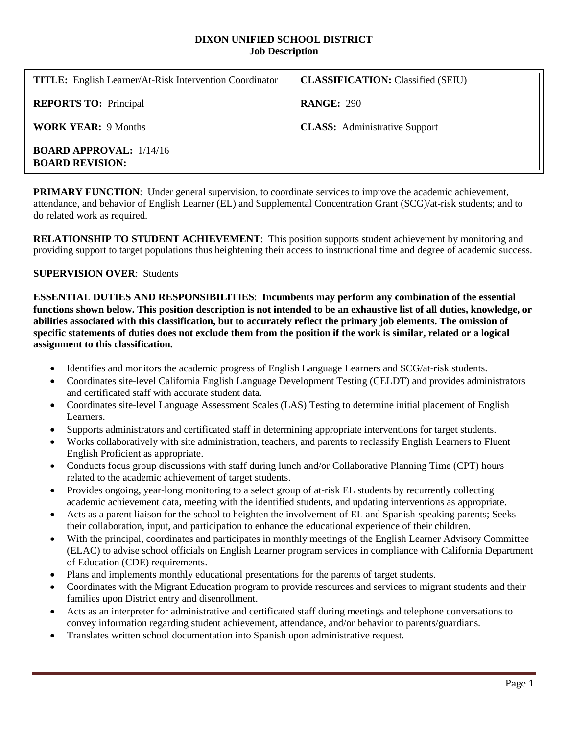#### **DIXON UNIFIED SCHOOL DISTRICT Job Description**

| <b>TITLE:</b> English Learner/At-Risk Intervention Coordinator | <b>CLASSIFICATION:</b> Classified (SEIU) |
|----------------------------------------------------------------|------------------------------------------|
| <b>REPORTS TO:</b> Principal                                   | <b>RANGE: 290</b>                        |
| <b>WORK YEAR: 9 Months</b>                                     | <b>CLASS:</b> Administrative Support     |
| <b>BOARD APPROVAL:</b> $1/14/16$<br><b>BOARD REVISION:</b>     |                                          |

**PRIMARY FUNCTION:** Under general supervision, to coordinate services to improve the academic achievement. attendance, and behavior of English Learner (EL) and Supplemental Concentration Grant (SCG)/at-risk students; and to do related work as required.

**RELATIONSHIP TO STUDENT ACHIEVEMENT**: This position supports student achievement by monitoring and providing support to target populations thus heightening their access to instructional time and degree of academic success.

## **SUPERVISION OVER**: Students

**ESSENTIAL DUTIES AND RESPONSIBILITIES**: **Incumbents may perform any combination of the essential functions shown below. This position description is not intended to be an exhaustive list of all duties, knowledge, or abilities associated with this classification, but to accurately reflect the primary job elements. The omission of specific statements of duties does not exclude them from the position if the work is similar, related or a logical assignment to this classification.**

- Identifies and monitors the academic progress of English Language Learners and SCG/at-risk students.
- Coordinates site-level California English Language Development Testing (CELDT) and provides administrators and certificated staff with accurate student data.
- Coordinates site-level Language Assessment Scales (LAS) Testing to determine initial placement of English Learners.
- Supports administrators and certificated staff in determining appropriate interventions for target students.
- Works collaboratively with site administration, teachers, and parents to reclassify English Learners to Fluent English Proficient as appropriate.
- Conducts focus group discussions with staff during lunch and/or Collaborative Planning Time (CPT) hours related to the academic achievement of target students.
- Provides ongoing, year-long monitoring to a select group of at-risk EL students by recurrently collecting academic achievement data, meeting with the identified students, and updating interventions as appropriate.
- Acts as a parent liaison for the school to heighten the involvement of EL and Spanish-speaking parents; Seeks their collaboration, input, and participation to enhance the educational experience of their children.
- With the principal, coordinates and participates in monthly meetings of the English Learner Advisory Committee (ELAC) to advise school officials on English Learner program services in compliance with California Department of Education (CDE) requirements.
- Plans and implements monthly educational presentations for the parents of target students.
- Coordinates with the Migrant Education program to provide resources and services to migrant students and their families upon District entry and disenrollment.
- Acts as an interpreter for administrative and certificated staff during meetings and telephone conversations to convey information regarding student achievement, attendance, and/or behavior to parents/guardians.
- Translates written school documentation into Spanish upon administrative request.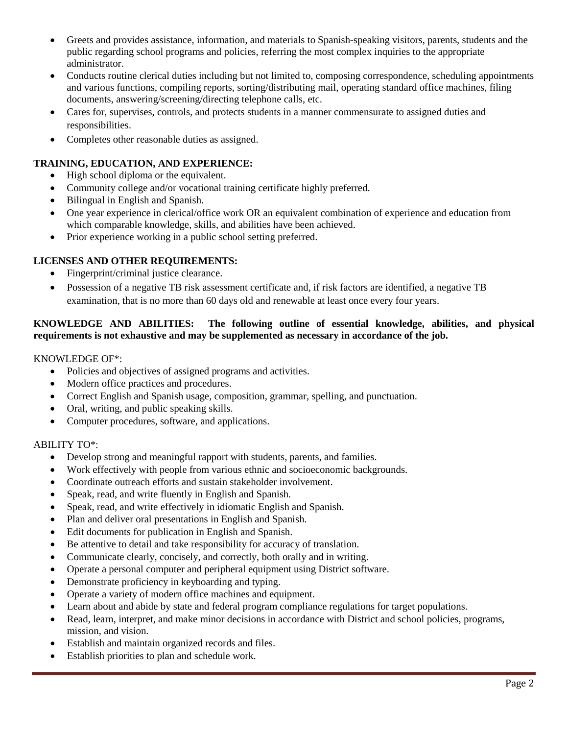- Greets and provides assistance, information, and materials to Spanish-speaking visitors, parents, students and the public regarding school programs and policies, referring the most complex inquiries to the appropriate administrator.
- Conducts routine clerical duties including but not limited to, composing correspondence, scheduling appointments and various functions, compiling reports, sorting/distributing mail, operating standard office machines, filing documents, answering/screening/directing telephone calls, etc.
- Cares for, supervises, controls, and protects students in a manner commensurate to assigned duties and responsibilities.
- Completes other reasonable duties as assigned.

## **TRAINING, EDUCATION, AND EXPERIENCE:**

- High school diploma or the equivalent.
- Community college and/or vocational training certificate highly preferred.
- Bilingual in English and Spanish.
- One year experience in clerical/office work OR an equivalent combination of experience and education from which comparable knowledge, skills, and abilities have been achieved.
- Prior experience working in a public school setting preferred.

## **LICENSES AND OTHER REQUIREMENTS:**

- Fingerprint/criminal justice clearance.
- Possession of a negative TB risk assessment certificate and, if risk factors are identified, a negative TB examination, that is no more than 60 days old and renewable at least once every four years.

# **KNOWLEDGE AND ABILITIES: The following outline of essential knowledge, abilities, and physical requirements is not exhaustive and may be supplemented as necessary in accordance of the job.**

### KNOWLEDGE OF\*:

- Policies and objectives of assigned programs and activities.
- Modern office practices and procedures.
- Correct English and Spanish usage, composition, grammar, spelling, and punctuation.
- Oral, writing, and public speaking skills.
- Computer procedures, software, and applications.

### ABILITY TO\*:

- Develop strong and meaningful rapport with students, parents, and families.
- Work effectively with people from various ethnic and socioeconomic backgrounds.
- Coordinate outreach efforts and sustain stakeholder involvement.
- Speak, read, and write fluently in English and Spanish.
- Speak, read, and write effectively in idiomatic English and Spanish.
- Plan and deliver oral presentations in English and Spanish.
- Edit documents for publication in English and Spanish.
- Be attentive to detail and take responsibility for accuracy of translation.
- Communicate clearly, concisely, and correctly, both orally and in writing.
- Operate a personal computer and peripheral equipment using District software.
- Demonstrate proficiency in keyboarding and typing.
- Operate a variety of modern office machines and equipment.
- Learn about and abide by state and federal program compliance regulations for target populations.
- Read, learn, interpret, and make minor decisions in accordance with District and school policies, programs, mission, and vision.
- Establish and maintain organized records and files.
- Establish priorities to plan and schedule work.